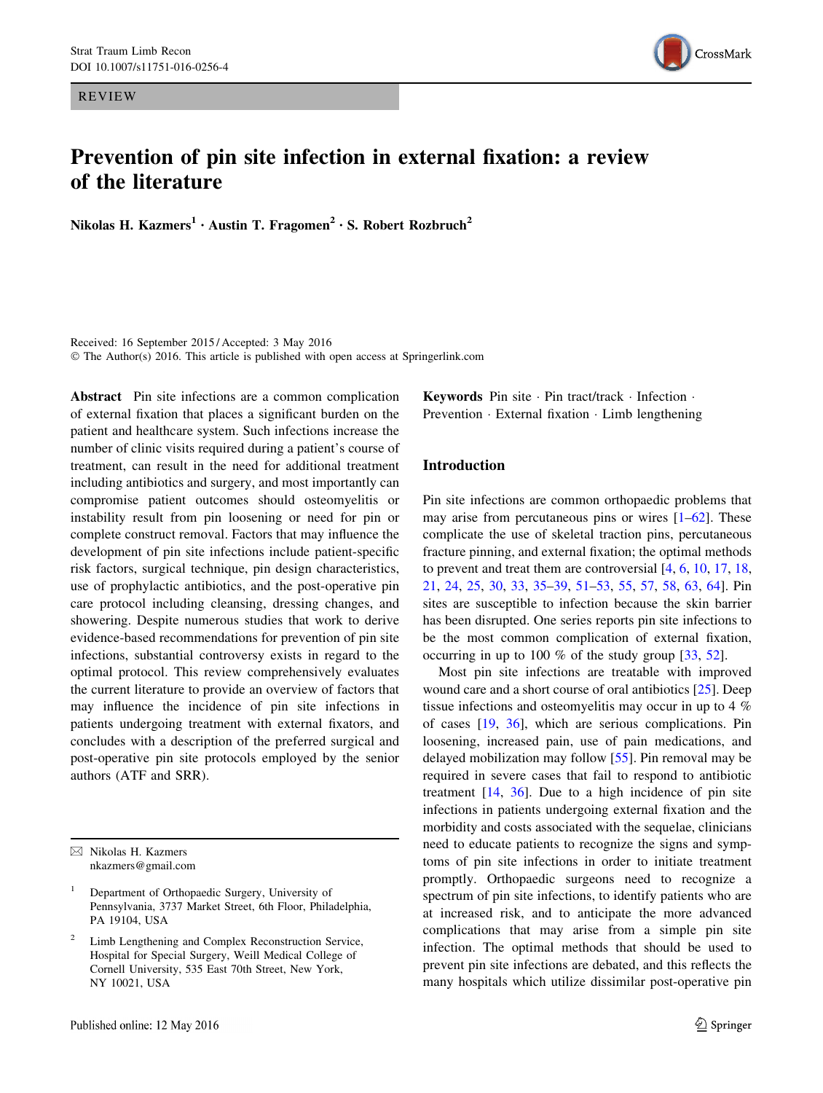REVIEW



# Prevention of pin site infection in external fixation: a review of the literature

Nikolas H. Kazmers<sup>1</sup> · Austin T. Fragomen<sup>2</sup> · S. Robert Rozbruch<sup>2</sup>

Received: 16 September 2015 / Accepted: 3 May 2016  $\odot$  The Author(s) 2016. This article is published with open access at Springerlink.com

Abstract Pin site infections are a common complication of external fixation that places a significant burden on the patient and healthcare system. Such infections increase the number of clinic visits required during a patient's course of treatment, can result in the need for additional treatment including antibiotics and surgery, and most importantly can compromise patient outcomes should osteomyelitis or instability result from pin loosening or need for pin or complete construct removal. Factors that may influence the development of pin site infections include patient-specific risk factors, surgical technique, pin design characteristics, use of prophylactic antibiotics, and the post-operative pin care protocol including cleansing, dressing changes, and showering. Despite numerous studies that work to derive evidence-based recommendations for prevention of pin site infections, substantial controversy exists in regard to the optimal protocol. This review comprehensively evaluates the current literature to provide an overview of factors that may influence the incidence of pin site infections in patients undergoing treatment with external fixators, and concludes with a description of the preferred surgical and post-operative pin site protocols employed by the senior authors (ATF and SRR).

Keywords Pin site  $\cdot$  Pin tract/track  $\cdot$  Infection  $\cdot$ Prevention · External fixation · Limb lengthening

# Introduction

Pin site infections are common orthopaedic problems that may arise from percutaneous pins or wires  $[1-62]$  $[1-62]$ . These complicate the use of skeletal traction pins, percutaneous fracture pinning, and external fixation; the optimal methods to prevent and treat them are controversial [[4,](#page-8-0) [6,](#page-9-0) [10,](#page-9-0) [17,](#page-9-0) [18,](#page-9-0) [21](#page-9-0), [24](#page-9-0), [25](#page-9-0), [30](#page-9-0), [33,](#page-9-0) [35–39,](#page-9-0) [51–53,](#page-10-0) [55,](#page-10-0) [57,](#page-10-0) [58,](#page-10-0) [63,](#page-10-0) [64\]](#page-10-0). Pin sites are susceptible to infection because the skin barrier has been disrupted. One series reports pin site infections to be the most common complication of external fixation, occurring in up to 100 % of the study group [\[33](#page-9-0), [52](#page-10-0)].

Most pin site infections are treatable with improved wound care and a short course of oral antibiotics [[25\]](#page-9-0). Deep tissue infections and osteomyelitis may occur in up to 4 % of cases [[19,](#page-9-0) [36](#page-9-0)], which are serious complications. Pin loosening, increased pain, use of pain medications, and delayed mobilization may follow [\[55](#page-10-0)]. Pin removal may be required in severe cases that fail to respond to antibiotic treatment  $[14, 36]$  $[14, 36]$  $[14, 36]$ . Due to a high incidence of pin site infections in patients undergoing external fixation and the morbidity and costs associated with the sequelae, clinicians need to educate patients to recognize the signs and symptoms of pin site infections in order to initiate treatment promptly. Orthopaedic surgeons need to recognize a spectrum of pin site infections, to identify patients who are at increased risk, and to anticipate the more advanced complications that may arise from a simple pin site infection. The optimal methods that should be used to prevent pin site infections are debated, and this reflects the many hospitals which utilize dissimilar post-operative pin

 $\boxtimes$  Nikolas H. Kazmers nkazmers@gmail.com

<sup>&</sup>lt;sup>1</sup> Department of Orthopaedic Surgery, University of Pennsylvania, 3737 Market Street, 6th Floor, Philadelphia, PA 19104, USA

Limb Lengthening and Complex Reconstruction Service, Hospital for Special Surgery, Weill Medical College of Cornell University, 535 East 70th Street, New York, NY 10021, USA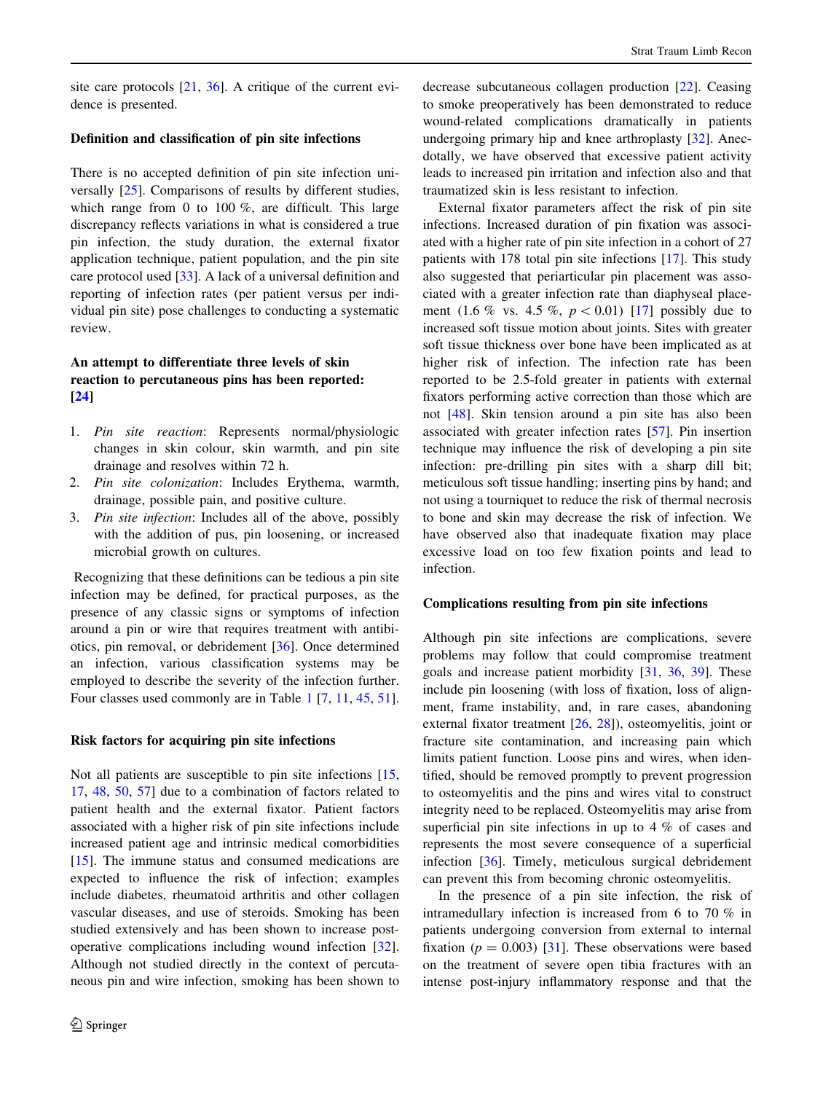site care protocols  $[21, 36]$  $[21, 36]$  $[21, 36]$  $[21, 36]$ . A critique of the current evidence is presented.

## Definition and classification of pin site infections

There is no accepted definition of pin site infection universally [[25\]](#page-9-0). Comparisons of results by different studies, which range from 0 to 100 %, are difficult. This large discrepancy reflects variations in what is considered a true pin infection, the study duration, the external fixator application technique, patient population, and the pin site care protocol used [\[33](#page-9-0)]. A lack of a universal definition and reporting of infection rates (per patient versus per individual pin site) pose challenges to conducting a systematic review.

# An attempt to differentiate three levels of skin reaction to percutaneous pins has been reported: [\[24](#page-9-0)]

- 1. Pin site reaction: Represents normal/physiologic changes in skin colour, skin warmth, and pin site drainage and resolves within 72 h.
- 2. Pin site colonization: Includes Erythema, warmth, drainage, possible pain, and positive culture.
- 3. Pin site infection: Includes all of the above, possibly with the addition of pus, pin loosening, or increased microbial growth on cultures.

Recognizing that these definitions can be tedious a pin site infection may be defined, for practical purposes, as the presence of any classic signs or symptoms of infection around a pin or wire that requires treatment with antibiotics, pin removal, or debridement [\[36\]](#page-9-0). Once determined an infection, various classification systems may be employed to describe the severity of the infection further. Four classes used commonly are in Table [1](#page-2-0) [[7,](#page-9-0) [11,](#page-9-0) [45](#page-9-0), [51](#page-10-0)].

## Risk factors for acquiring pin site infections

Not all patients are susceptible to pin site infections [[15,](#page-9-0) [17,](#page-9-0) [48](#page-10-0), [50](#page-10-0), [57](#page-10-0)] due to a combination of factors related to patient health and the external fixator. Patient factors associated with a higher risk of pin site infections include increased patient age and intrinsic medical comorbidities [\[15](#page-9-0)]. The immune status and consumed medications are expected to influence the risk of infection; examples include diabetes, rheumatoid arthritis and other collagen vascular diseases, and use of steroids. Smoking has been studied extensively and has been shown to increase postoperative complications including wound infection [\[32](#page-9-0)]. Although not studied directly in the context of percutaneous pin and wire infection, smoking has been shown to decrease subcutaneous collagen production [[22](#page-9-0)]. Ceasing to smoke preoperatively has been demonstrated to reduce wound-related complications dramatically in patients undergoing primary hip and knee arthroplasty [[32\]](#page-9-0). Anecdotally, we have observed that excessive patient activity leads to increased pin irritation and infection also and that traumatized skin is less resistant to infection.

External fixator parameters affect the risk of pin site infections. Increased duration of pin fixation was associated with a higher rate of pin site infection in a cohort of 27 patients with 178 total pin site infections [\[17](#page-9-0)]. This study also suggested that periarticular pin placement was associated with a greater infection rate than diaphyseal placement (1.6 % vs. 4.5 %,  $p < 0.01$ ) [[17\]](#page-9-0) possibly due to increased soft tissue motion about joints. Sites with greater soft tissue thickness over bone have been implicated as at higher risk of infection. The infection rate has been reported to be 2.5-fold greater in patients with external fixators performing active correction than those which are not [\[48](#page-10-0)]. Skin tension around a pin site has also been associated with greater infection rates [[57\]](#page-10-0). Pin insertion technique may influence the risk of developing a pin site infection: pre-drilling pin sites with a sharp dill bit; meticulous soft tissue handling; inserting pins by hand; and not using a tourniquet to reduce the risk of thermal necrosis to bone and skin may decrease the risk of infection. We have observed also that inadequate fixation may place excessive load on too few fixation points and lead to infection.

#### Complications resulting from pin site infections

Although pin site infections are complications, severe problems may follow that could compromise treatment goals and increase patient morbidity [[31,](#page-9-0) [36](#page-9-0), [39](#page-9-0)]. These include pin loosening (with loss of fixation, loss of alignment, frame instability, and, in rare cases, abandoning external fixator treatment [\[26](#page-9-0), [28](#page-9-0)]), osteomyelitis, joint or fracture site contamination, and increasing pain which limits patient function. Loose pins and wires, when identified, should be removed promptly to prevent progression to osteomyelitis and the pins and wires vital to construct integrity need to be replaced. Osteomyelitis may arise from superficial pin site infections in up to 4 % of cases and represents the most severe consequence of a superficial infection [\[36](#page-9-0)]. Timely, meticulous surgical debridement can prevent this from becoming chronic osteomyelitis.

In the presence of a pin site infection, the risk of intramedullary infection is increased from 6 to 70 % in patients undergoing conversion from external to internal fixation ( $p = 0.003$ ) [\[31](#page-9-0)]. These observations were based on the treatment of severe open tibia fractures with an intense post-injury inflammatory response and that the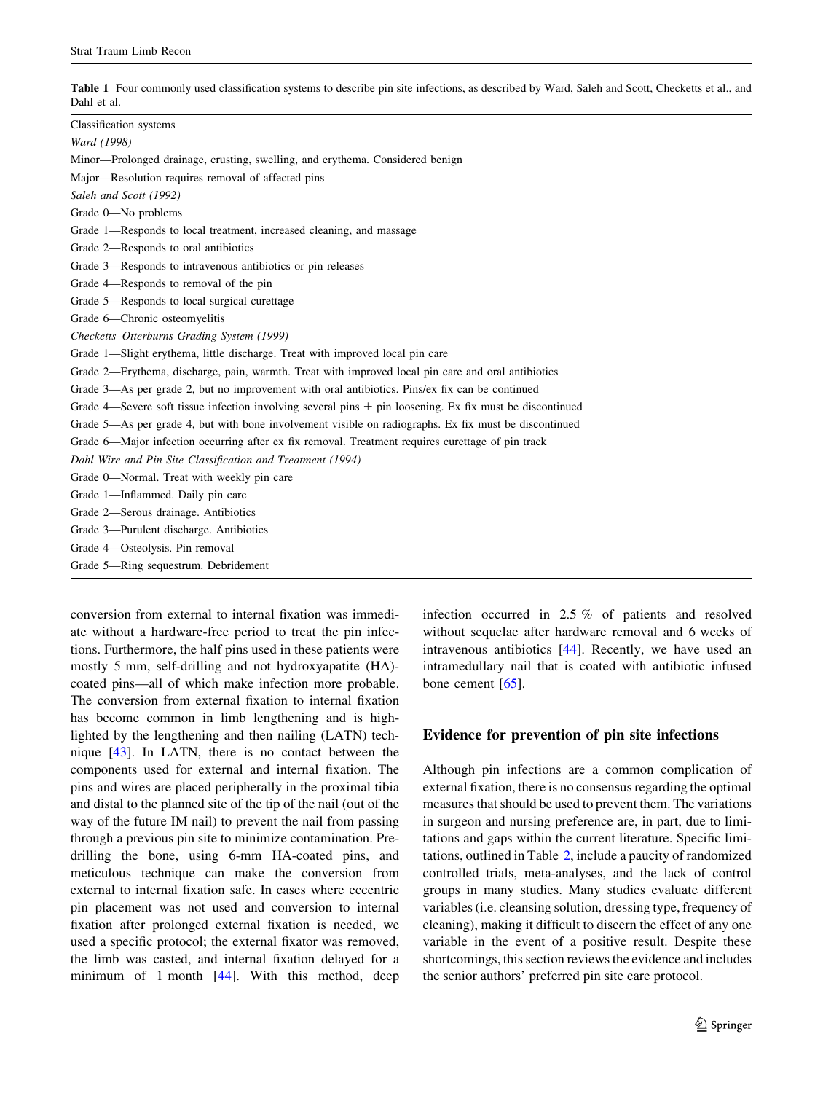<span id="page-2-0"></span>Table 1 Four commonly used classification systems to describe pin site infections, as described by Ward, Saleh and Scott, Checketts et al., and Dahl et al.

| <b>Classification</b> systems                                                                                |
|--------------------------------------------------------------------------------------------------------------|
| Ward (1998)                                                                                                  |
| Minor—Prolonged drainage, crusting, swelling, and erythema. Considered benign                                |
| Major—Resolution requires removal of affected pins                                                           |
| Saleh and Scott (1992)                                                                                       |
| Grade 0-No problems                                                                                          |
| Grade 1—Responds to local treatment, increased cleaning, and massage                                         |
| Grade 2—Responds to oral antibiotics                                                                         |
| Grade 3-Responds to intravenous antibiotics or pin releases                                                  |
| Grade 4—Responds to removal of the pin                                                                       |
| Grade 5—Responds to local surgical curettage                                                                 |
| Grade 6-Chronic osteomyelitis                                                                                |
| Checketts-Otterburns Grading System (1999)                                                                   |
| Grade 1—Slight erythema, little discharge. Treat with improved local pin care                                |
| Grade 2—Erythema, discharge, pain, warmth. Treat with improved local pin care and oral antibiotics           |
| Grade 3—As per grade 2, but no improvement with oral antibiotics. Pins/ex fix can be continued               |
| Grade 4—Severe soft tissue infection involving several pins $\pm$ pin loosening. Ex fix must be discontinued |
| Grade 5—As per grade 4, but with bone involvement visible on radiographs. Ex fix must be discontinued        |
| Grade 6—Major infection occurring after ex fix removal. Treatment requires curettage of pin track            |
| Dahl Wire and Pin Site Classification and Treatment (1994)                                                   |
| Grade 0—Normal. Treat with weekly pin care                                                                   |
| Grade 1—Inflammed. Daily pin care                                                                            |
| Grade 2-Serous drainage. Antibiotics                                                                         |
| Grade 3-Purulent discharge. Antibiotics                                                                      |
| Grade 4-Osteolysis. Pin removal                                                                              |
| Grade 5-Ring sequestrum. Debridement                                                                         |
|                                                                                                              |

conversion from external to internal fixation was immediate without a hardware-free period to treat the pin infections. Furthermore, the half pins used in these patients were mostly 5 mm, self-drilling and not hydroxyapatite (HA) coated pins—all of which make infection more probable. The conversion from external fixation to internal fixation has become common in limb lengthening and is highlighted by the lengthening and then nailing (LATN) technique [[43\]](#page-9-0). In LATN, there is no contact between the components used for external and internal fixation. The pins and wires are placed peripherally in the proximal tibia and distal to the planned site of the tip of the nail (out of the way of the future IM nail) to prevent the nail from passing through a previous pin site to minimize contamination. Predrilling the bone, using 6-mm HA-coated pins, and meticulous technique can make the conversion from external to internal fixation safe. In cases where eccentric pin placement was not used and conversion to internal fixation after prolonged external fixation is needed, we used a specific protocol; the external fixator was removed, the limb was casted, and internal fixation delayed for a minimum of 1 month [[44\]](#page-9-0). With this method, deep infection occurred in 2.5 % of patients and resolved without sequelae after hardware removal and 6 weeks of intravenous antibiotics [[44\]](#page-9-0). Recently, we have used an intramedullary nail that is coated with antibiotic infused bone cement [[65\]](#page-10-0).

# Evidence for prevention of pin site infections

Although pin infections are a common complication of external fixation, there is no consensus regarding the optimal measures that should be used to prevent them. The variations in surgeon and nursing preference are, in part, due to limitations and gaps within the current literature. Specific limitations, outlined in Table [2,](#page-3-0) include a paucity of randomized controlled trials, meta-analyses, and the lack of control groups in many studies. Many studies evaluate different variables (i.e. cleansing solution, dressing type, frequency of cleaning), making it difficult to discern the effect of any one variable in the event of a positive result. Despite these shortcomings, this section reviews the evidence and includes the senior authors' preferred pin site care protocol.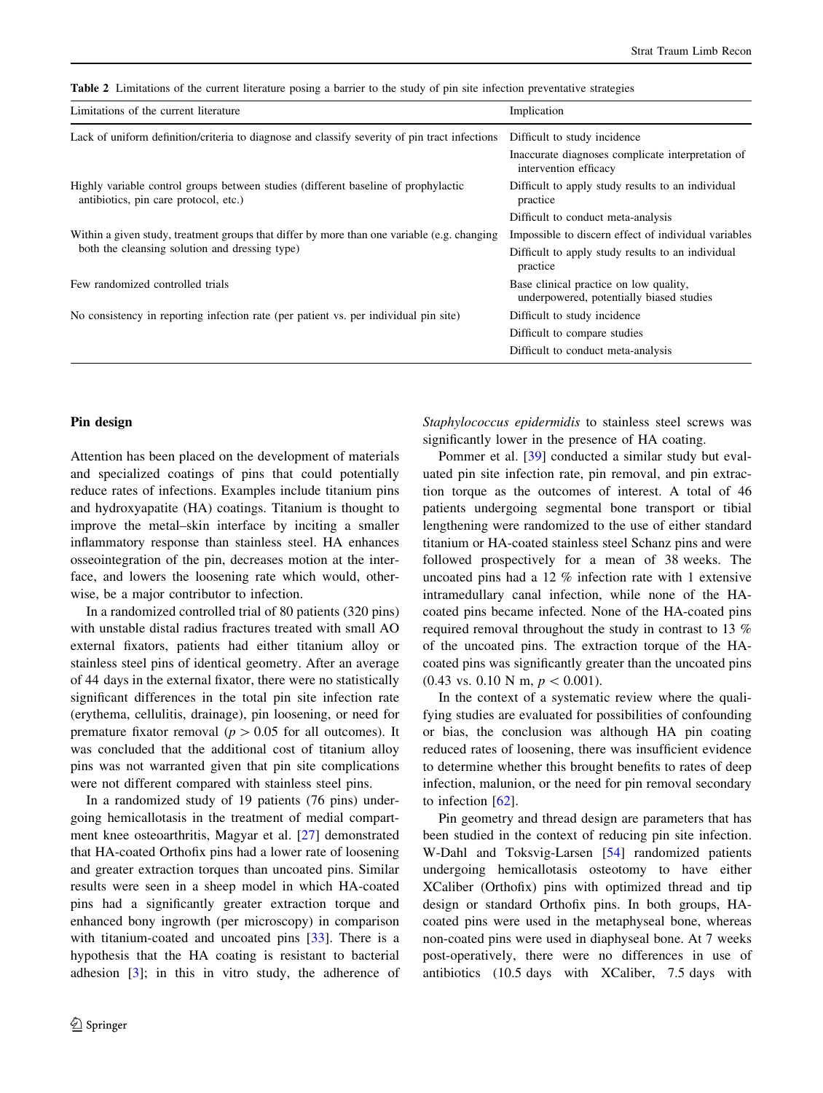<span id="page-3-0"></span>Table 2 Limitations of the current literature posing a barrier to the study of pin site infection preventative strategies

| Limitations of the current literature                                                                                                         | Implication                                                                        |
|-----------------------------------------------------------------------------------------------------------------------------------------------|------------------------------------------------------------------------------------|
| Lack of uniform definition/criteria to diagnose and classify severity of pin tract infections                                                 | Difficult to study incidence                                                       |
|                                                                                                                                               | Inaccurate diagnoses complicate interpretation of<br>intervention efficacy         |
| Highly variable control groups between studies (different baseline of prophylactic<br>antibiotics, pin care protocol, etc.)                   | Difficult to apply study results to an individual<br>practice                      |
|                                                                                                                                               | Difficult to conduct meta-analysis                                                 |
| Within a given study, treatment groups that differ by more than one variable (e.g. changing<br>both the cleansing solution and dressing type) | Impossible to discern effect of individual variables                               |
|                                                                                                                                               | Difficult to apply study results to an individual<br>practice                      |
| Few randomized controlled trials                                                                                                              | Base clinical practice on low quality,<br>underpowered, potentially biased studies |
| No consistency in reporting infection rate (per patient vs. per individual pin site)                                                          | Difficult to study incidence                                                       |
|                                                                                                                                               | Difficult to compare studies                                                       |
|                                                                                                                                               | Difficult to conduct meta-analysis                                                 |

# Pin design

Attention has been placed on the development of materials and specialized coatings of pins that could potentially reduce rates of infections. Examples include titanium pins and hydroxyapatite (HA) coatings. Titanium is thought to improve the metal–skin interface by inciting a smaller inflammatory response than stainless steel. HA enhances osseointegration of the pin, decreases motion at the interface, and lowers the loosening rate which would, otherwise, be a major contributor to infection.

In a randomized controlled trial of 80 patients (320 pins) with unstable distal radius fractures treated with small AO external fixators, patients had either titanium alloy or stainless steel pins of identical geometry. After an average of 44 days in the external fixator, there were no statistically significant differences in the total pin site infection rate (erythema, cellulitis, drainage), pin loosening, or need for premature fixator removal ( $p > 0.05$  for all outcomes). It was concluded that the additional cost of titanium alloy pins was not warranted given that pin site complications were not different compared with stainless steel pins.

In a randomized study of 19 patients (76 pins) undergoing hemicallotasis in the treatment of medial compartment knee osteoarthritis, Magyar et al. [\[27](#page-9-0)] demonstrated that HA-coated Orthofix pins had a lower rate of loosening and greater extraction torques than uncoated pins. Similar results were seen in a sheep model in which HA-coated pins had a significantly greater extraction torque and enhanced bony ingrowth (per microscopy) in comparison with titanium-coated and uncoated pins [\[33](#page-9-0)]. There is a hypothesis that the HA coating is resistant to bacterial adhesion [[3\]](#page-8-0); in this in vitro study, the adherence of Staphylococcus epidermidis to stainless steel screws was significantly lower in the presence of HA coating.

Pommer et al. [\[39](#page-9-0)] conducted a similar study but evaluated pin site infection rate, pin removal, and pin extraction torque as the outcomes of interest. A total of 46 patients undergoing segmental bone transport or tibial lengthening were randomized to the use of either standard titanium or HA-coated stainless steel Schanz pins and were followed prospectively for a mean of 38 weeks. The uncoated pins had a 12 % infection rate with 1 extensive intramedullary canal infection, while none of the HAcoated pins became infected. None of the HA-coated pins required removal throughout the study in contrast to 13 % of the uncoated pins. The extraction torque of the HAcoated pins was significantly greater than the uncoated pins  $(0.43 \text{ vs. } 0.10 \text{ N m}, p < 0.001).$ 

In the context of a systematic review where the qualifying studies are evaluated for possibilities of confounding or bias, the conclusion was although HA pin coating reduced rates of loosening, there was insufficient evidence to determine whether this brought benefits to rates of deep infection, malunion, or the need for pin removal secondary to infection [[62\]](#page-10-0).

Pin geometry and thread design are parameters that has been studied in the context of reducing pin site infection. W-Dahl and Toksvig-Larsen [\[54](#page-10-0)] randomized patients undergoing hemicallotasis osteotomy to have either XCaliber (Orthofix) pins with optimized thread and tip design or standard Orthofix pins. In both groups, HAcoated pins were used in the metaphyseal bone, whereas non-coated pins were used in diaphyseal bone. At 7 weeks post-operatively, there were no differences in use of antibiotics (10.5 days with XCaliber, 7.5 days with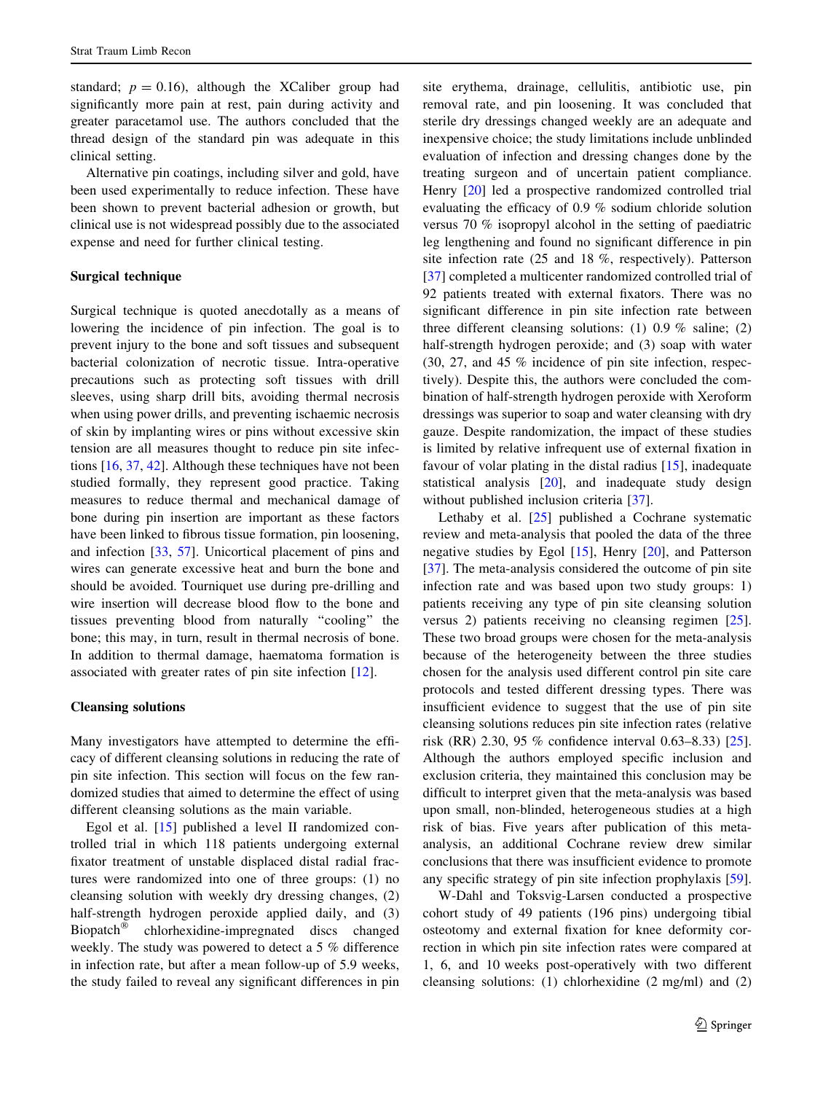standard;  $p = 0.16$ ), although the XCaliber group had significantly more pain at rest, pain during activity and greater paracetamol use. The authors concluded that the thread design of the standard pin was adequate in this clinical setting.

Alternative pin coatings, including silver and gold, have been used experimentally to reduce infection. These have been shown to prevent bacterial adhesion or growth, but clinical use is not widespread possibly due to the associated expense and need for further clinical testing.

# Surgical technique

Surgical technique is quoted anecdotally as a means of lowering the incidence of pin infection. The goal is to prevent injury to the bone and soft tissues and subsequent bacterial colonization of necrotic tissue. Intra-operative precautions such as protecting soft tissues with drill sleeves, using sharp drill bits, avoiding thermal necrosis when using power drills, and preventing ischaemic necrosis of skin by implanting wires or pins without excessive skin tension are all measures thought to reduce pin site infections [\[16](#page-9-0), [37](#page-9-0), [42](#page-9-0)]. Although these techniques have not been studied formally, they represent good practice. Taking measures to reduce thermal and mechanical damage of bone during pin insertion are important as these factors have been linked to fibrous tissue formation, pin loosening, and infection [\[33](#page-9-0), [57](#page-10-0)]. Unicortical placement of pins and wires can generate excessive heat and burn the bone and should be avoided. Tourniquet use during pre-drilling and wire insertion will decrease blood flow to the bone and tissues preventing blood from naturally ''cooling'' the bone; this may, in turn, result in thermal necrosis of bone. In addition to thermal damage, haematoma formation is associated with greater rates of pin site infection [\[12](#page-9-0)].

# Cleansing solutions

Many investigators have attempted to determine the efficacy of different cleansing solutions in reducing the rate of pin site infection. This section will focus on the few randomized studies that aimed to determine the effect of using different cleansing solutions as the main variable.

Egol et al. [[15\]](#page-9-0) published a level II randomized controlled trial in which 118 patients undergoing external fixator treatment of unstable displaced distal radial fractures were randomized into one of three groups: (1) no cleansing solution with weekly dry dressing changes, (2) half-strength hydrogen peroxide applied daily, and (3) Biopatch" chlorhexidine-impregnated discs changed weekly. The study was powered to detect a 5 % difference in infection rate, but after a mean follow-up of 5.9 weeks, the study failed to reveal any significant differences in pin site erythema, drainage, cellulitis, antibiotic use, pin removal rate, and pin loosening. It was concluded that sterile dry dressings changed weekly are an adequate and inexpensive choice; the study limitations include unblinded evaluation of infection and dressing changes done by the treating surgeon and of uncertain patient compliance. Henry [[20\]](#page-9-0) led a prospective randomized controlled trial evaluating the efficacy of 0.9 % sodium chloride solution versus 70 % isopropyl alcohol in the setting of paediatric leg lengthening and found no significant difference in pin site infection rate (25 and 18 %, respectively). Patterson [\[37](#page-9-0)] completed a multicenter randomized controlled trial of 92 patients treated with external fixators. There was no significant difference in pin site infection rate between three different cleansing solutions: (1) 0.9 % saline; (2) half-strength hydrogen peroxide; and (3) soap with water (30, 27, and 45 % incidence of pin site infection, respectively). Despite this, the authors were concluded the combination of half-strength hydrogen peroxide with Xeroform dressings was superior to soap and water cleansing with dry gauze. Despite randomization, the impact of these studies is limited by relative infrequent use of external fixation in favour of volar plating in the distal radius [\[15](#page-9-0)], inadequate statistical analysis [\[20\]](#page-9-0), and inadequate study design without published inclusion criteria [\[37](#page-9-0)].

Lethaby et al. [\[25](#page-9-0)] published a Cochrane systematic review and meta-analysis that pooled the data of the three negative studies by Egol [\[15](#page-9-0)], Henry [[20\]](#page-9-0), and Patterson [\[37](#page-9-0)]. The meta-analysis considered the outcome of pin site infection rate and was based upon two study groups: 1) patients receiving any type of pin site cleansing solution versus 2) patients receiving no cleansing regimen [\[25](#page-9-0)]. These two broad groups were chosen for the meta-analysis because of the heterogeneity between the three studies chosen for the analysis used different control pin site care protocols and tested different dressing types. There was insufficient evidence to suggest that the use of pin site cleansing solutions reduces pin site infection rates (relative risk (RR) 2.30, 95 % confidence interval 0.63–8.33) [\[25](#page-9-0)]. Although the authors employed specific inclusion and exclusion criteria, they maintained this conclusion may be difficult to interpret given that the meta-analysis was based upon small, non-blinded, heterogeneous studies at a high risk of bias. Five years after publication of this metaanalysis, an additional Cochrane review drew similar conclusions that there was insufficient evidence to promote any specific strategy of pin site infection prophylaxis [\[59](#page-10-0)].

W-Dahl and Toksvig-Larsen conducted a prospective cohort study of 49 patients (196 pins) undergoing tibial osteotomy and external fixation for knee deformity correction in which pin site infection rates were compared at 1, 6, and 10 weeks post-operatively with two different cleansing solutions: (1) chlorhexidine (2 mg/ml) and (2)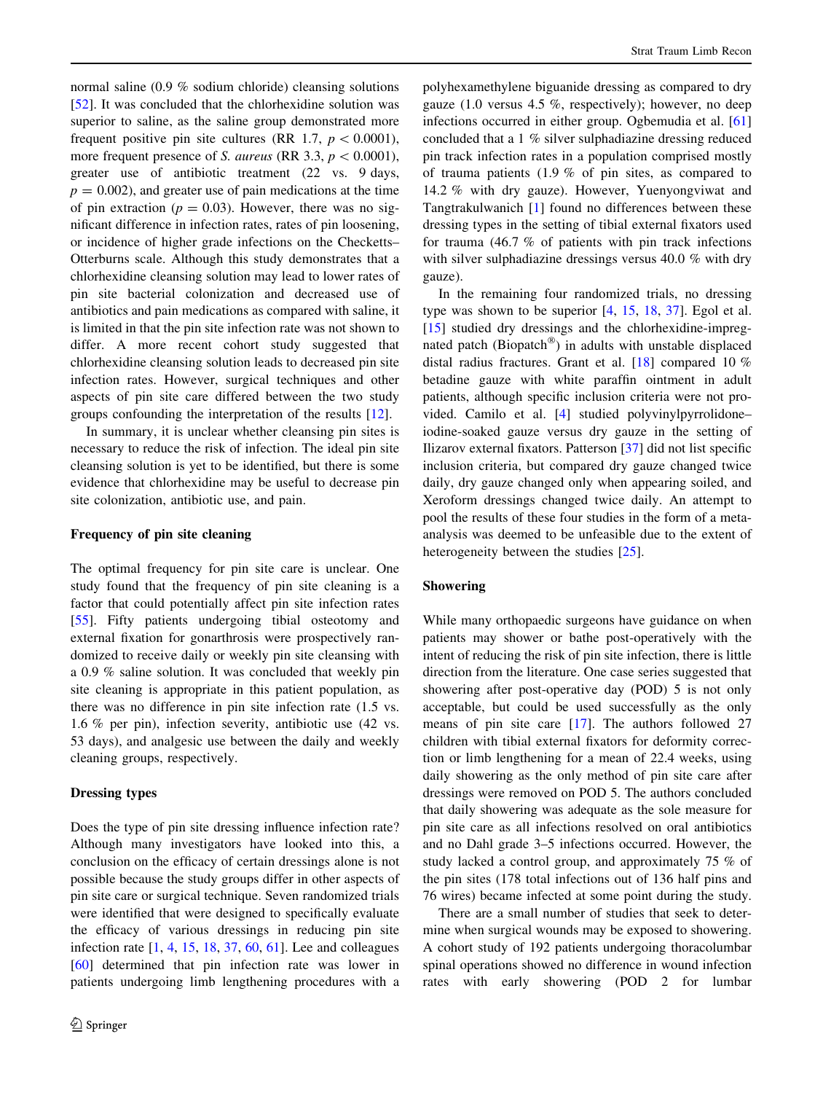normal saline (0.9 % sodium chloride) cleansing solutions [\[52](#page-10-0)]. It was concluded that the chlorhexidine solution was superior to saline, as the saline group demonstrated more frequent positive pin site cultures (RR 1.7,  $p < 0.0001$ ), more frequent presence of S. *aureus* (RR 3.3,  $p < 0.0001$ ), greater use of antibiotic treatment (22 vs. 9 days,  $p = 0.002$ , and greater use of pain medications at the time of pin extraction ( $p = 0.03$ ). However, there was no significant difference in infection rates, rates of pin loosening, or incidence of higher grade infections on the Checketts– Otterburns scale. Although this study demonstrates that a chlorhexidine cleansing solution may lead to lower rates of pin site bacterial colonization and decreased use of antibiotics and pain medications as compared with saline, it is limited in that the pin site infection rate was not shown to differ. A more recent cohort study suggested that chlorhexidine cleansing solution leads to decreased pin site infection rates. However, surgical techniques and other aspects of pin site care differed between the two study groups confounding the interpretation of the results [\[12](#page-9-0)].

In summary, it is unclear whether cleansing pin sites is necessary to reduce the risk of infection. The ideal pin site cleansing solution is yet to be identified, but there is some evidence that chlorhexidine may be useful to decrease pin site colonization, antibiotic use, and pain.

## Frequency of pin site cleaning

The optimal frequency for pin site care is unclear. One study found that the frequency of pin site cleaning is a factor that could potentially affect pin site infection rates [\[55](#page-10-0)]. Fifty patients undergoing tibial osteotomy and external fixation for gonarthrosis were prospectively randomized to receive daily or weekly pin site cleansing with a 0.9 % saline solution. It was concluded that weekly pin site cleaning is appropriate in this patient population, as there was no difference in pin site infection rate (1.5 vs. 1.6 % per pin), infection severity, antibiotic use (42 vs. 53 days), and analgesic use between the daily and weekly cleaning groups, respectively.

#### Dressing types

Does the type of pin site dressing influence infection rate? Although many investigators have looked into this, a conclusion on the efficacy of certain dressings alone is not possible because the study groups differ in other aspects of pin site care or surgical technique. Seven randomized trials were identified that were designed to specifically evaluate the efficacy of various dressings in reducing pin site infection rate [[1,](#page-8-0) [4](#page-8-0), [15,](#page-9-0) [18,](#page-9-0) [37](#page-9-0), [60,](#page-10-0) [61\]](#page-10-0). Lee and colleagues [\[60](#page-10-0)] determined that pin infection rate was lower in patients undergoing limb lengthening procedures with a

polyhexamethylene biguanide dressing as compared to dry gauze (1.0 versus 4.5 %, respectively); however, no deep infections occurred in either group. Ogbemudia et al. [[61\]](#page-10-0) concluded that a 1 % silver sulphadiazine dressing reduced pin track infection rates in a population comprised mostly of trauma patients (1.9 % of pin sites, as compared to 14.2 % with dry gauze). However, Yuenyongviwat and Tangtrakulwanich [[1](#page-8-0)] found no differences between these dressing types in the setting of tibial external fixators used for trauma (46.7 % of patients with pin track infections with silver sulphadiazine dressings versus 40.0 % with dry gauze).

In the remaining four randomized trials, no dressing type was shown to be superior [\[4](#page-8-0), [15](#page-9-0), [18](#page-9-0), [37\]](#page-9-0). Egol et al. [\[15](#page-9-0)] studied dry dressings and the chlorhexidine-impregnated patch (Biopatch<sup>®</sup>) in adults with unstable displaced distal radius fractures. Grant et al. [[18\]](#page-9-0) compared 10 % betadine gauze with white paraffin ointment in adult patients, although specific inclusion criteria were not provided. Camilo et al. [[4\]](#page-8-0) studied polyvinylpyrrolidone– iodine-soaked gauze versus dry gauze in the setting of Ilizarov external fixators. Patterson [[37\]](#page-9-0) did not list specific inclusion criteria, but compared dry gauze changed twice daily, dry gauze changed only when appearing soiled, and Xeroform dressings changed twice daily. An attempt to pool the results of these four studies in the form of a metaanalysis was deemed to be unfeasible due to the extent of heterogeneity between the studies [[25\]](#page-9-0).

## Showering

While many orthopaedic surgeons have guidance on when patients may shower or bathe post-operatively with the intent of reducing the risk of pin site infection, there is little direction from the literature. One case series suggested that showering after post-operative day (POD) 5 is not only acceptable, but could be used successfully as the only means of pin site care [\[17](#page-9-0)]. The authors followed 27 children with tibial external fixators for deformity correction or limb lengthening for a mean of 22.4 weeks, using daily showering as the only method of pin site care after dressings were removed on POD 5. The authors concluded that daily showering was adequate as the sole measure for pin site care as all infections resolved on oral antibiotics and no Dahl grade 3–5 infections occurred. However, the study lacked a control group, and approximately 75 % of the pin sites (178 total infections out of 136 half pins and 76 wires) became infected at some point during the study.

There are a small number of studies that seek to determine when surgical wounds may be exposed to showering. A cohort study of 192 patients undergoing thoracolumbar spinal operations showed no difference in wound infection rates with early showering (POD 2 for lumbar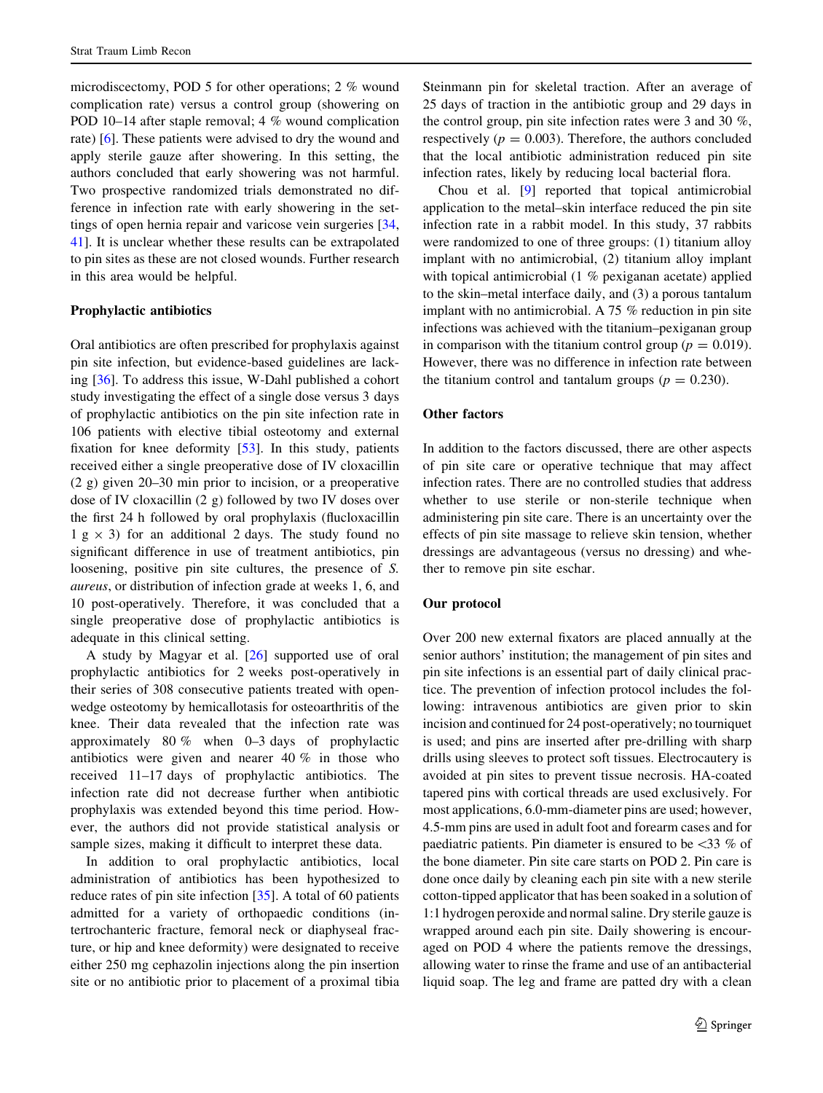microdiscectomy, POD 5 for other operations; 2 % wound complication rate) versus a control group (showering on POD 10–14 after staple removal; 4 % wound complication rate) [\[6](#page-9-0)]. These patients were advised to dry the wound and apply sterile gauze after showering. In this setting, the authors concluded that early showering was not harmful. Two prospective randomized trials demonstrated no difference in infection rate with early showering in the settings of open hernia repair and varicose vein surgeries [[34,](#page-9-0) [41](#page-9-0)]. It is unclear whether these results can be extrapolated to pin sites as these are not closed wounds. Further research in this area would be helpful.

### Prophylactic antibiotics

Oral antibiotics are often prescribed for prophylaxis against pin site infection, but evidence-based guidelines are lacking [\[36](#page-9-0)]. To address this issue, W-Dahl published a cohort study investigating the effect of a single dose versus 3 days of prophylactic antibiotics on the pin site infection rate in 106 patients with elective tibial osteotomy and external fixation for knee deformity [\[53](#page-10-0)]. In this study, patients received either a single preoperative dose of IV cloxacillin (2 g) given 20–30 min prior to incision, or a preoperative dose of IV cloxacillin (2 g) followed by two IV doses over the first 24 h followed by oral prophylaxis (flucloxacillin  $1 \text{ g} \times 3$ ) for an additional 2 days. The study found no significant difference in use of treatment antibiotics, pin loosening, positive pin site cultures, the presence of S. aureus, or distribution of infection grade at weeks 1, 6, and 10 post-operatively. Therefore, it was concluded that a single preoperative dose of prophylactic antibiotics is adequate in this clinical setting.

A study by Magyar et al. [[26\]](#page-9-0) supported use of oral prophylactic antibiotics for 2 weeks post-operatively in their series of 308 consecutive patients treated with openwedge osteotomy by hemicallotasis for osteoarthritis of the knee. Their data revealed that the infection rate was approximately 80 % when 0–3 days of prophylactic antibiotics were given and nearer 40 % in those who received 11–17 days of prophylactic antibiotics. The infection rate did not decrease further when antibiotic prophylaxis was extended beyond this time period. However, the authors did not provide statistical analysis or sample sizes, making it difficult to interpret these data.

In addition to oral prophylactic antibiotics, local administration of antibiotics has been hypothesized to reduce rates of pin site infection [[35\]](#page-9-0). A total of 60 patients admitted for a variety of orthopaedic conditions (intertrochanteric fracture, femoral neck or diaphyseal fracture, or hip and knee deformity) were designated to receive either 250 mg cephazolin injections along the pin insertion site or no antibiotic prior to placement of a proximal tibia Steinmann pin for skeletal traction. After an average of 25 days of traction in the antibiotic group and 29 days in the control group, pin site infection rates were 3 and 30 %, respectively ( $p = 0.003$ ). Therefore, the authors concluded that the local antibiotic administration reduced pin site infection rates, likely by reducing local bacterial flora.

Chou et al. [[9\]](#page-9-0) reported that topical antimicrobial application to the metal–skin interface reduced the pin site infection rate in a rabbit model. In this study, 37 rabbits were randomized to one of three groups: (1) titanium alloy implant with no antimicrobial, (2) titanium alloy implant with topical antimicrobial (1 % pexiganan acetate) applied to the skin–metal interface daily, and (3) a porous tantalum implant with no antimicrobial. A 75 % reduction in pin site infections was achieved with the titanium–pexiganan group in comparison with the titanium control group ( $p = 0.019$ ). However, there was no difference in infection rate between the titanium control and tantalum groups ( $p = 0.230$ ).

#### Other factors

In addition to the factors discussed, there are other aspects of pin site care or operative technique that may affect infection rates. There are no controlled studies that address whether to use sterile or non-sterile technique when administering pin site care. There is an uncertainty over the effects of pin site massage to relieve skin tension, whether dressings are advantageous (versus no dressing) and whether to remove pin site eschar.

#### Our protocol

Over 200 new external fixators are placed annually at the senior authors' institution; the management of pin sites and pin site infections is an essential part of daily clinical practice. The prevention of infection protocol includes the following: intravenous antibiotics are given prior to skin incision and continued for 24 post-operatively; no tourniquet is used; and pins are inserted after pre-drilling with sharp drills using sleeves to protect soft tissues. Electrocautery is avoided at pin sites to prevent tissue necrosis. HA-coated tapered pins with cortical threads are used exclusively. For most applications, 6.0-mm-diameter pins are used; however, 4.5-mm pins are used in adult foot and forearm cases and for paediatric patients. Pin diameter is ensured to be  $\langle 33 \, \% \rangle$  of the bone diameter. Pin site care starts on POD 2. Pin care is done once daily by cleaning each pin site with a new sterile cotton-tipped applicator that has been soaked in a solution of 1:1 hydrogen peroxide and normal saline. Dry sterile gauze is wrapped around each pin site. Daily showering is encouraged on POD 4 where the patients remove the dressings, allowing water to rinse the frame and use of an antibacterial liquid soap. The leg and frame are patted dry with a clean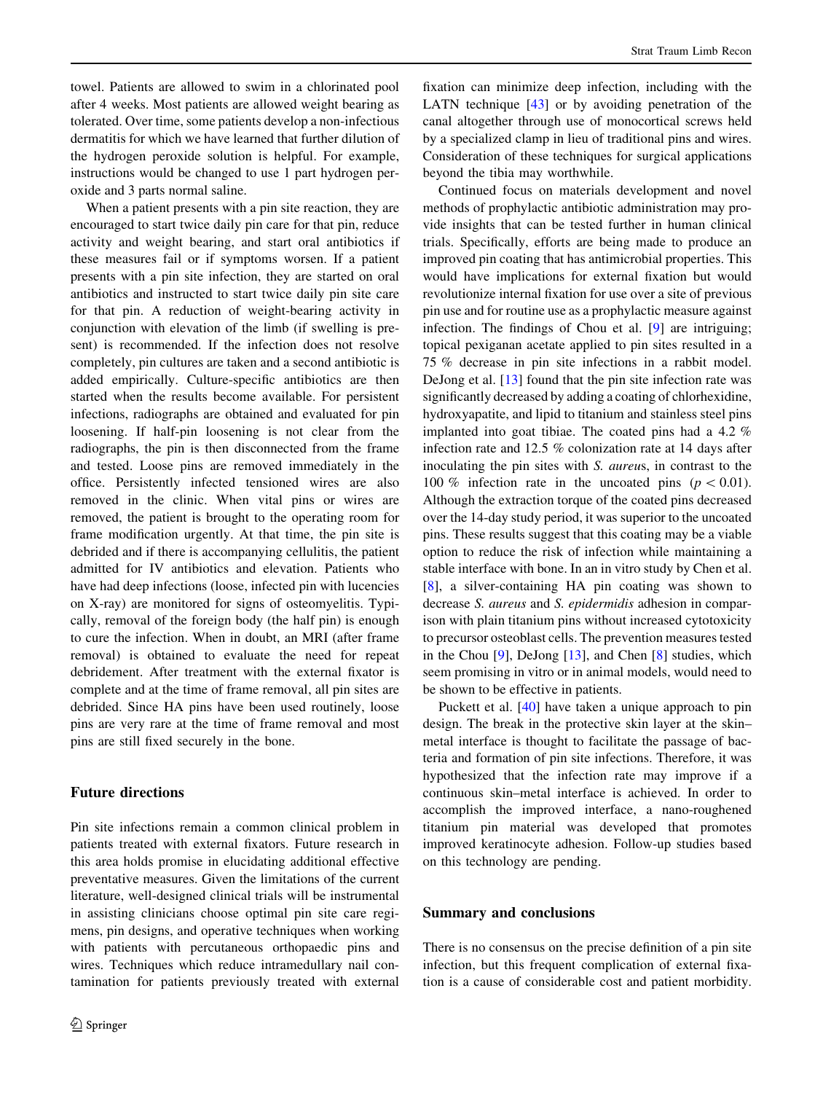towel. Patients are allowed to swim in a chlorinated pool after 4 weeks. Most patients are allowed weight bearing as tolerated. Over time, some patients develop a non-infectious dermatitis for which we have learned that further dilution of the hydrogen peroxide solution is helpful. For example, instructions would be changed to use 1 part hydrogen peroxide and 3 parts normal saline.

When a patient presents with a pin site reaction, they are encouraged to start twice daily pin care for that pin, reduce activity and weight bearing, and start oral antibiotics if these measures fail or if symptoms worsen. If a patient presents with a pin site infection, they are started on oral antibiotics and instructed to start twice daily pin site care for that pin. A reduction of weight-bearing activity in conjunction with elevation of the limb (if swelling is present) is recommended. If the infection does not resolve completely, pin cultures are taken and a second antibiotic is added empirically. Culture-specific antibiotics are then started when the results become available. For persistent infections, radiographs are obtained and evaluated for pin loosening. If half-pin loosening is not clear from the radiographs, the pin is then disconnected from the frame and tested. Loose pins are removed immediately in the office. Persistently infected tensioned wires are also removed in the clinic. When vital pins or wires are removed, the patient is brought to the operating room for frame modification urgently. At that time, the pin site is debrided and if there is accompanying cellulitis, the patient admitted for IV antibiotics and elevation. Patients who have had deep infections (loose, infected pin with lucencies on X-ray) are monitored for signs of osteomyelitis. Typically, removal of the foreign body (the half pin) is enough to cure the infection. When in doubt, an MRI (after frame removal) is obtained to evaluate the need for repeat debridement. After treatment with the external fixator is complete and at the time of frame removal, all pin sites are debrided. Since HA pins have been used routinely, loose pins are very rare at the time of frame removal and most pins are still fixed securely in the bone.

# Future directions

Pin site infections remain a common clinical problem in patients treated with external fixators. Future research in this area holds promise in elucidating additional effective preventative measures. Given the limitations of the current literature, well-designed clinical trials will be instrumental in assisting clinicians choose optimal pin site care regimens, pin designs, and operative techniques when working with patients with percutaneous orthopaedic pins and wires. Techniques which reduce intramedullary nail contamination for patients previously treated with external

fixation can minimize deep infection, including with the LATN technique [\[43](#page-9-0)] or by avoiding penetration of the canal altogether through use of monocortical screws held by a specialized clamp in lieu of traditional pins and wires. Consideration of these techniques for surgical applications beyond the tibia may worthwhile.

Continued focus on materials development and novel methods of prophylactic antibiotic administration may provide insights that can be tested further in human clinical trials. Specifically, efforts are being made to produce an improved pin coating that has antimicrobial properties. This would have implications for external fixation but would revolutionize internal fixation for use over a site of previous pin use and for routine use as a prophylactic measure against infection. The findings of Chou et al. [[9\]](#page-9-0) are intriguing; topical pexiganan acetate applied to pin sites resulted in a 75 % decrease in pin site infections in a rabbit model. DeJong et al. [\[13](#page-9-0)] found that the pin site infection rate was significantly decreased by adding a coating of chlorhexidine, hydroxyapatite, and lipid to titanium and stainless steel pins implanted into goat tibiae. The coated pins had a 4.2 % infection rate and 12.5 % colonization rate at 14 days after inoculating the pin sites with S. aureus, in contrast to the 100 % infection rate in the uncoated pins  $(p<0.01)$ . Although the extraction torque of the coated pins decreased over the 14-day study period, it was superior to the uncoated pins. These results suggest that this coating may be a viable option to reduce the risk of infection while maintaining a stable interface with bone. In an in vitro study by Chen et al. [\[8](#page-9-0)], a silver-containing HA pin coating was shown to decrease S. aureus and S. epidermidis adhesion in comparison with plain titanium pins without increased cytotoxicity to precursor osteoblast cells. The prevention measures tested in the Chou [\[9](#page-9-0)], DeJong [\[13](#page-9-0)], and Chen [\[8](#page-9-0)] studies, which seem promising in vitro or in animal models, would need to be shown to be effective in patients.

Puckett et al. [[40\]](#page-9-0) have taken a unique approach to pin design. The break in the protective skin layer at the skin– metal interface is thought to facilitate the passage of bacteria and formation of pin site infections. Therefore, it was hypothesized that the infection rate may improve if a continuous skin–metal interface is achieved. In order to accomplish the improved interface, a nano-roughened titanium pin material was developed that promotes improved keratinocyte adhesion. Follow-up studies based on this technology are pending.

# Summary and conclusions

There is no consensus on the precise definition of a pin site infection, but this frequent complication of external fixation is a cause of considerable cost and patient morbidity.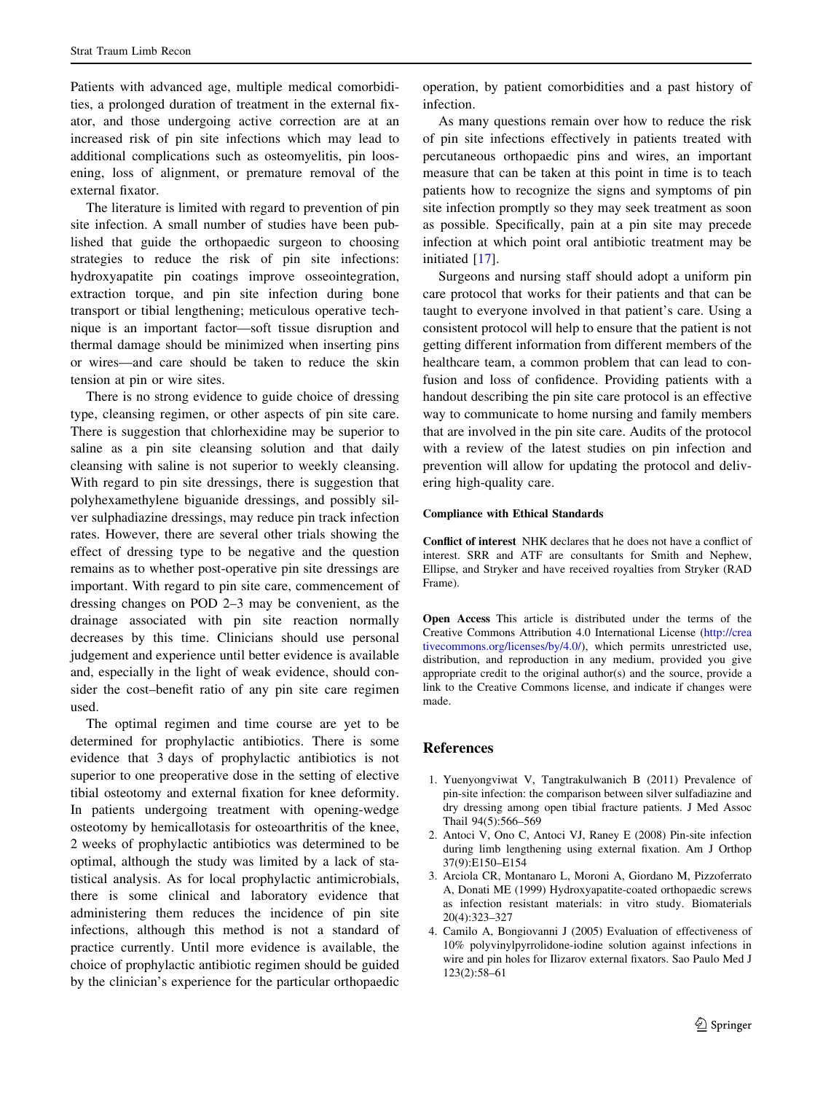<span id="page-8-0"></span>Patients with advanced age, multiple medical comorbidities, a prolonged duration of treatment in the external fixator, and those undergoing active correction are at an increased risk of pin site infections which may lead to additional complications such as osteomyelitis, pin loosening, loss of alignment, or premature removal of the external fixator.

The literature is limited with regard to prevention of pin site infection. A small number of studies have been published that guide the orthopaedic surgeon to choosing strategies to reduce the risk of pin site infections: hydroxyapatite pin coatings improve osseointegration, extraction torque, and pin site infection during bone transport or tibial lengthening; meticulous operative technique is an important factor—soft tissue disruption and thermal damage should be minimized when inserting pins or wires—and care should be taken to reduce the skin tension at pin or wire sites.

There is no strong evidence to guide choice of dressing type, cleansing regimen, or other aspects of pin site care. There is suggestion that chlorhexidine may be superior to saline as a pin site cleansing solution and that daily cleansing with saline is not superior to weekly cleansing. With regard to pin site dressings, there is suggestion that polyhexamethylene biguanide dressings, and possibly silver sulphadiazine dressings, may reduce pin track infection rates. However, there are several other trials showing the effect of dressing type to be negative and the question remains as to whether post-operative pin site dressings are important. With regard to pin site care, commencement of dressing changes on POD 2–3 may be convenient, as the drainage associated with pin site reaction normally decreases by this time. Clinicians should use personal judgement and experience until better evidence is available and, especially in the light of weak evidence, should consider the cost–benefit ratio of any pin site care regimen used.

The optimal regimen and time course are yet to be determined for prophylactic antibiotics. There is some evidence that 3 days of prophylactic antibiotics is not superior to one preoperative dose in the setting of elective tibial osteotomy and external fixation for knee deformity. In patients undergoing treatment with opening-wedge osteotomy by hemicallotasis for osteoarthritis of the knee, 2 weeks of prophylactic antibiotics was determined to be optimal, although the study was limited by a lack of statistical analysis. As for local prophylactic antimicrobials, there is some clinical and laboratory evidence that administering them reduces the incidence of pin site infections, although this method is not a standard of practice currently. Until more evidence is available, the choice of prophylactic antibiotic regimen should be guided by the clinician's experience for the particular orthopaedic

operation, by patient comorbidities and a past history of infection.

As many questions remain over how to reduce the risk of pin site infections effectively in patients treated with percutaneous orthopaedic pins and wires, an important measure that can be taken at this point in time is to teach patients how to recognize the signs and symptoms of pin site infection promptly so they may seek treatment as soon as possible. Specifically, pain at a pin site may precede infection at which point oral antibiotic treatment may be initiated [[17\]](#page-9-0).

Surgeons and nursing staff should adopt a uniform pin care protocol that works for their patients and that can be taught to everyone involved in that patient's care. Using a consistent protocol will help to ensure that the patient is not getting different information from different members of the healthcare team, a common problem that can lead to confusion and loss of confidence. Providing patients with a handout describing the pin site care protocol is an effective way to communicate to home nursing and family members that are involved in the pin site care. Audits of the protocol with a review of the latest studies on pin infection and prevention will allow for updating the protocol and delivering high-quality care.

#### Compliance with Ethical Standards

Conflict of interest NHK declares that he does not have a conflict of interest. SRR and ATF are consultants for Smith and Nephew, Ellipse, and Stryker and have received royalties from Stryker (RAD Frame).

Open Access This article is distributed under the terms of the Creative Commons Attribution 4.0 International License ([http://crea](http://creativecommons.org/licenses/by/4.0/) [tivecommons.org/licenses/by/4.0/\)](http://creativecommons.org/licenses/by/4.0/), which permits unrestricted use, distribution, and reproduction in any medium, provided you give appropriate credit to the original author(s) and the source, provide a link to the Creative Commons license, and indicate if changes were made.

#### References

- 1. Yuenyongviwat V, Tangtrakulwanich B (2011) Prevalence of pin-site infection: the comparison between silver sulfadiazine and dry dressing among open tibial fracture patients. J Med Assoc Thail 94(5):566–569
- 2. Antoci V, Ono C, Antoci VJ, Raney E (2008) Pin-site infection during limb lengthening using external fixation. Am J Orthop 37(9):E150–E154
- 3. Arciola CR, Montanaro L, Moroni A, Giordano M, Pizzoferrato A, Donati ME (1999) Hydroxyapatite-coated orthopaedic screws as infection resistant materials: in vitro study. Biomaterials 20(4):323–327
- 4. Camilo A, Bongiovanni J (2005) Evaluation of effectiveness of 10% polyvinylpyrrolidone-iodine solution against infections in wire and pin holes for Ilizarov external fixators. Sao Paulo Med J 123(2):58–61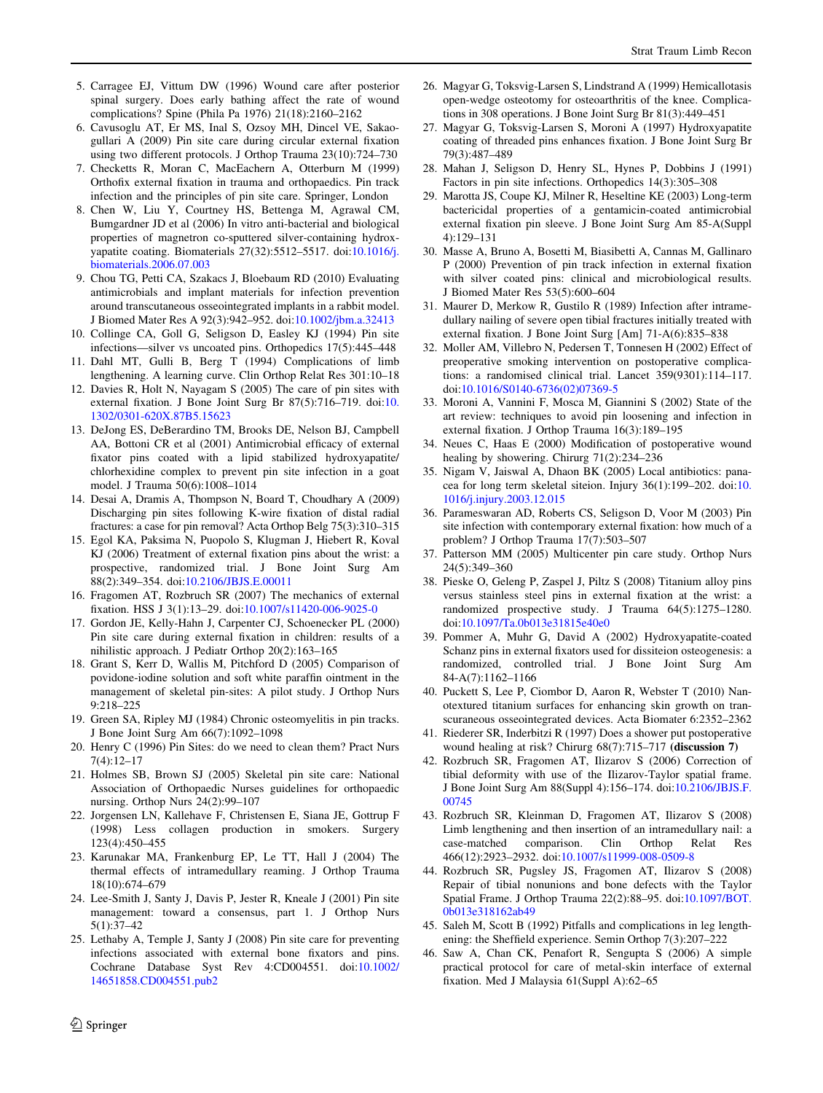- <span id="page-9-0"></span>5. Carragee EJ, Vittum DW (1996) Wound care after posterior spinal surgery. Does early bathing affect the rate of wound complications? Spine (Phila Pa 1976) 21(18):2160–2162
- 6. Cavusoglu AT, Er MS, Inal S, Ozsoy MH, Dincel VE, Sakaogullari A (2009) Pin site care during circular external fixation using two different protocols. J Orthop Trauma 23(10):724–730
- 7. Checketts R, Moran C, MacEachern A, Otterburn M (1999) Orthofix external fixation in trauma and orthopaedics. Pin track infection and the principles of pin site care. Springer, London
- 8. Chen W, Liu Y, Courtney HS, Bettenga M, Agrawal CM, Bumgardner JD et al (2006) In vitro anti-bacterial and biological properties of magnetron co-sputtered silver-containing hydroxyapatite coating. Biomaterials 27(32):5512–5517. doi:[10.1016/j.](http://dx.doi.org/10.1016/j.biomaterials.2006.07.003) [biomaterials.2006.07.003](http://dx.doi.org/10.1016/j.biomaterials.2006.07.003)
- 9. Chou TG, Petti CA, Szakacs J, Bloebaum RD (2010) Evaluating antimicrobials and implant materials for infection prevention around transcutaneous osseointegrated implants in a rabbit model. J Biomed Mater Res A 92(3):942–952. doi[:10.1002/jbm.a.32413](http://dx.doi.org/10.1002/jbm.a.32413)
- 10. Collinge CA, Goll G, Seligson D, Easley KJ (1994) Pin site infections—silver vs uncoated pins. Orthopedics 17(5):445–448
- 11. Dahl MT, Gulli B, Berg T (1994) Complications of limb lengthening. A learning curve. Clin Orthop Relat Res 301:10–18
- 12. Davies R, Holt N, Nayagam S (2005) The care of pin sites with external fixation. J Bone Joint Surg Br 87(5):716–719. doi:[10.](http://dx.doi.org/10.1302/0301-620X.87B5.15623) [1302/0301-620X.87B5.15623](http://dx.doi.org/10.1302/0301-620X.87B5.15623)
- 13. DeJong ES, DeBerardino TM, Brooks DE, Nelson BJ, Campbell AA, Bottoni CR et al (2001) Antimicrobial efficacy of external fixator pins coated with a lipid stabilized hydroxyapatite/ chlorhexidine complex to prevent pin site infection in a goat model. J Trauma 50(6):1008–1014
- 14. Desai A, Dramis A, Thompson N, Board T, Choudhary A (2009) Discharging pin sites following K-wire fixation of distal radial fractures: a case for pin removal? Acta Orthop Belg 75(3):310–315
- 15. Egol KA, Paksima N, Puopolo S, Klugman J, Hiebert R, Koval KJ (2006) Treatment of external fixation pins about the wrist: a prospective, randomized trial. J Bone Joint Surg Am 88(2):349–354. doi[:10.2106/JBJS.E.00011](http://dx.doi.org/10.2106/JBJS.E.00011)
- 16. Fragomen AT, Rozbruch SR (2007) The mechanics of external fixation. HSS J 3(1):13–29. doi:[10.1007/s11420-006-9025-0](http://dx.doi.org/10.1007/s11420-006-9025-0)
- 17. Gordon JE, Kelly-Hahn J, Carpenter CJ, Schoenecker PL (2000) Pin site care during external fixation in children: results of a nihilistic approach. J Pediatr Orthop 20(2):163–165
- 18. Grant S, Kerr D, Wallis M, Pitchford D (2005) Comparison of povidone-iodine solution and soft white paraffin ointment in the management of skeletal pin-sites: A pilot study. J Orthop Nurs 9:218–225
- 19. Green SA, Ripley MJ (1984) Chronic osteomyelitis in pin tracks. J Bone Joint Surg Am 66(7):1092–1098
- 20. Henry C (1996) Pin Sites: do we need to clean them? Pract Nurs 7(4):12–17
- 21. Holmes SB, Brown SJ (2005) Skeletal pin site care: National Association of Orthopaedic Nurses guidelines for orthopaedic nursing. Orthop Nurs 24(2):99–107
- 22. Jorgensen LN, Kallehave F, Christensen E, Siana JE, Gottrup F (1998) Less collagen production in smokers. Surgery 123(4):450–455
- 23. Karunakar MA, Frankenburg EP, Le TT, Hall J (2004) The thermal effects of intramedullary reaming. J Orthop Trauma 18(10):674–679
- 24. Lee-Smith J, Santy J, Davis P, Jester R, Kneale J (2001) Pin site management: toward a consensus, part 1. J Orthop Nurs 5(1):37–42
- 25. Lethaby A, Temple J, Santy J (2008) Pin site care for preventing infections associated with external bone fixators and pins. Cochrane Database Syst Rev 4:CD004551. doi[:10.1002/](http://dx.doi.org/10.1002/14651858.CD004551.pub2) [14651858.CD004551.pub2](http://dx.doi.org/10.1002/14651858.CD004551.pub2)
- 26. Magyar G, Toksvig-Larsen S, Lindstrand A (1999) Hemicallotasis open-wedge osteotomy for osteoarthritis of the knee. Complications in 308 operations. J Bone Joint Surg Br 81(3):449–451
- 27. Magyar G, Toksvig-Larsen S, Moroni A (1997) Hydroxyapatite coating of threaded pins enhances fixation. J Bone Joint Surg Br 79(3):487–489
- 28. Mahan J, Seligson D, Henry SL, Hynes P, Dobbins J (1991) Factors in pin site infections. Orthopedics 14(3):305–308
- 29. Marotta JS, Coupe KJ, Milner R, Heseltine KE (2003) Long-term bactericidal properties of a gentamicin-coated antimicrobial external fixation pin sleeve. J Bone Joint Surg Am 85-A(Suppl  $4)$  $-129-131$
- 30. Masse A, Bruno A, Bosetti M, Biasibetti A, Cannas M, Gallinaro P (2000) Prevention of pin track infection in external fixation with silver coated pins: clinical and microbiological results. J Biomed Mater Res 53(5):600–604
- 31. Maurer D, Merkow R, Gustilo R (1989) Infection after intramedullary nailing of severe open tibial fractures initially treated with external fixation. J Bone Joint Surg [Am] 71-A(6):835–838
- 32. Moller AM, Villebro N, Pedersen T, Tonnesen H (2002) Effect of preoperative smoking intervention on postoperative complications: a randomised clinical trial. Lancet 359(9301):114–117. doi:[10.1016/S0140-6736\(02\)07369-5](http://dx.doi.org/10.1016/S0140-6736(02)07369-5)
- 33. Moroni A, Vannini F, Mosca M, Giannini S (2002) State of the art review: techniques to avoid pin loosening and infection in external fixation. J Orthop Trauma 16(3):189–195
- 34. Neues C, Haas E (2000) Modification of postoperative wound healing by showering. Chirurg 71(2):234–236
- 35. Nigam V, Jaiswal A, Dhaon BK (2005) Local antibiotics: panacea for long term skeletal siteion. Injury 36(1):199–202. doi:[10.](http://dx.doi.org/10.1016/j.injury.2003.12.015) [1016/j.injury.2003.12.015](http://dx.doi.org/10.1016/j.injury.2003.12.015)
- 36. Parameswaran AD, Roberts CS, Seligson D, Voor M (2003) Pin site infection with contemporary external fixation: how much of a problem? J Orthop Trauma 17(7):503–507
- 37. Patterson MM (2005) Multicenter pin care study. Orthop Nurs 24(5):349–360
- 38. Pieske O, Geleng P, Zaspel J, Piltz S (2008) Titanium alloy pins versus stainless steel pins in external fixation at the wrist: a randomized prospective study. J Trauma 64(5):1275–1280. doi:[10.1097/Ta.0b013e31815e40e0](http://dx.doi.org/10.1097/Ta.0b013e31815e40e0)
- 39. Pommer A, Muhr G, David A (2002) Hydroxyapatite-coated Schanz pins in external fixators used for dissiteion osteogenesis: a randomized, controlled trial. J Bone Joint Surg Am 84-A(7):1162–1166
- 40. Puckett S, Lee P, Ciombor D, Aaron R, Webster T (2010) Nanotextured titanium surfaces for enhancing skin growth on transcuraneous osseointegrated devices. Acta Biomater 6:2352–2362
- 41. Riederer SR, Inderbitzi R (1997) Does a shower put postoperative wound healing at risk? Chirurg 68(7):715–717 (discussion 7)
- 42. Rozbruch SR, Fragomen AT, Ilizarov S (2006) Correction of tibial deformity with use of the Ilizarov-Taylor spatial frame. J Bone Joint Surg Am 88(Suppl 4):156–174. doi:[10.2106/JBJS.F.](http://dx.doi.org/10.2106/JBJS.F.00745) [00745](http://dx.doi.org/10.2106/JBJS.F.00745)
- 43. Rozbruch SR, Kleinman D, Fragomen AT, Ilizarov S (2008) Limb lengthening and then insertion of an intramedullary nail: a case-matched comparison. Clin Orthop Relat Res 466(12):2923–2932. doi[:10.1007/s11999-008-0509-8](http://dx.doi.org/10.1007/s11999-008-0509-8)
- 44. Rozbruch SR, Pugsley JS, Fragomen AT, Ilizarov S (2008) Repair of tibial nonunions and bone defects with the Taylor Spatial Frame. J Orthop Trauma 22(2):88–95. doi[:10.1097/BOT.](http://dx.doi.org/10.1097/BOT.0b013e318162ab49) [0b013e318162ab49](http://dx.doi.org/10.1097/BOT.0b013e318162ab49)
- 45. Saleh M, Scott B (1992) Pitfalls and complications in leg lengthening: the Sheffield experience. Semin Orthop 7(3):207–222
- 46. Saw A, Chan CK, Penafort R, Sengupta S (2006) A simple practical protocol for care of metal-skin interface of external fixation. Med J Malaysia 61(Suppl A):62–65